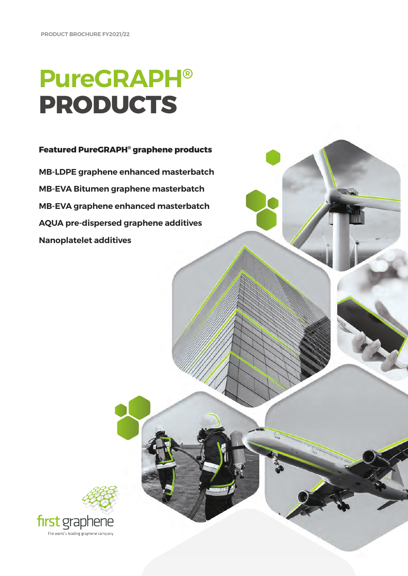# **PureGRAPH® PRODUCTS**

#### **Featured PureGRAPH® graphene products**

**MB-LDPE graphene enhanced masterbatch MB-EVA Bitumen graphene masterbatch MB-EVA graphene enhanced masterbatch AQUA pre-dispersed graphene additives Nanoplatelet additives**

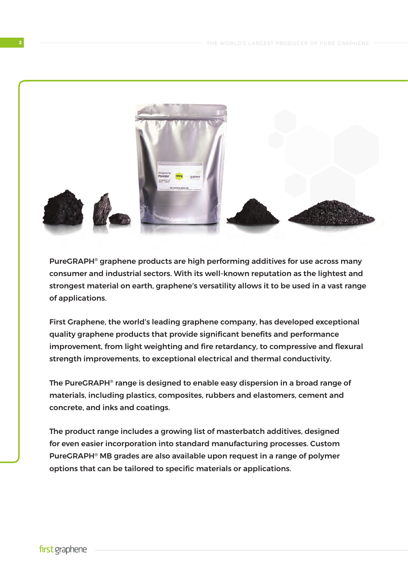

PureGRAPH® graphene products are high performing additives for use across many consumer and industrial sectors. With its well-known reputation as the lightest and strongest material on earth, graphene's versatility allows it to be used in a vast range of applications.

First Graphene, the world's leading graphene company, has developed exceptional quality graphene products that provide significant benefits and performance improvement, from light weighting and fire retardancy, to compressive and flexural strength improvements, to exceptional electrical and thermal conductivity.

The PureGRAPH® range is designed to enable easy dispersion in a broad range of materials, including plastics, composites, rubbers and elastomers, cement and concrete, and inks and coatings.

The product range includes a growing list of masterbatch additives, designed for even easier incorporation into standard manufacturing processes. Custom PureGRAPH® MB grades are also available upon request in a range of polymer options that can be tailored to specific materials or applications.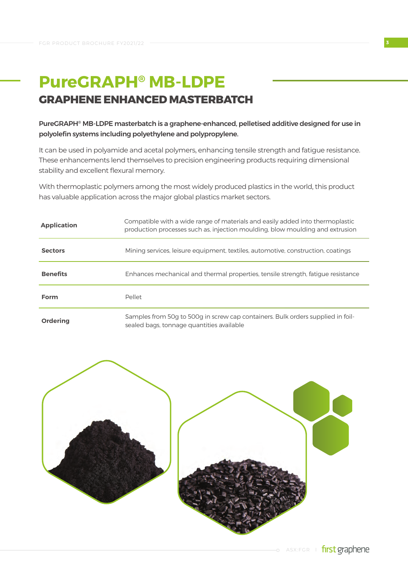### **PureGRAPH® MB-LDPE GRAPHENE ENHANCED MASTERBATCH**

#### PureGRAPH® MB-LDPE masterbatch is a graphene-enhanced, pelletised additive designed for use in polyolefin systems including polyethylene and polypropylene.

It can be used in polyamide and acetal polymers, enhancing tensile strength and fatigue resistance. These enhancements lend themselves to precision engineering products requiring dimensional stability and excellent flexural memory.

With thermoplastic polymers among the most widely produced plastics in the world, this product has valuable application across the major global plastics market sectors.

| <b>Application</b> | Compatible with a wide range of materials and easily added into thermoplastic<br>production processes such as, injection moulding, blow moulding and extrusion |  |  |  |
|--------------------|----------------------------------------------------------------------------------------------------------------------------------------------------------------|--|--|--|
| <b>Sectors</b>     | Mining services, leisure equipment, textiles, automotive, construction, coatings                                                                               |  |  |  |
| <b>Benefits</b>    | Enhances mechanical and thermal properties, tensile strength, fatique resistance                                                                               |  |  |  |
| Form               | Pellet                                                                                                                                                         |  |  |  |
| <b>Ordering</b>    | Samples from 50g to 500g in screw cap containers. Bulk orders supplied in foil-<br>sealed bags, tonnage quantities available                                   |  |  |  |

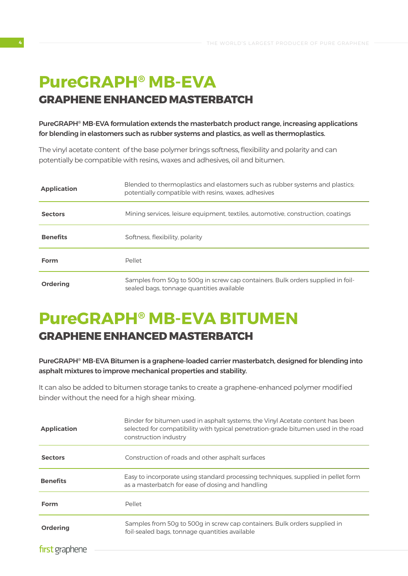## **PureGRAPH® MB-EVA GRAPHENE ENHANCED MASTERBATCH**

#### PureGRAPH® MB-EVA formulation extends the masterbatch product range, increasing applications for blending in elastomers such as rubber systems and plastics, as well as thermoplastics.

The vinyl acetate content of the base polymer brings softness, flexibility and polarity and can potentially be compatible with resins, waxes and adhesives, oil and bitumen.

| <b>Application</b> | Blended to thermoplastics and elastomers such as rubber systems and plastics;<br>potentially compatible with resins, waxes, adhesives |  |  |  |
|--------------------|---------------------------------------------------------------------------------------------------------------------------------------|--|--|--|
| <b>Sectors</b>     | Mining services, leisure equipment, textiles, automotive, construction, coatings                                                      |  |  |  |
| <b>Benefits</b>    | Softness, flexibility, polarity                                                                                                       |  |  |  |
| Form               | Pellet                                                                                                                                |  |  |  |
| <b>Ordering</b>    | Samples from 50g to 500g in screw cap containers. Bulk orders supplied in foil-<br>sealed bags, tonnage quantities available          |  |  |  |

## **PureGRAPH® MB-EVA BITUMEN GRAPHENE ENHANCED MASTERBATCH**

#### PureGRAPH® MB-EVA Bitumen is a graphene-loaded carrier masterbatch, designed for blending into asphalt mixtures to improve mechanical properties and stability.

It can also be added to bitumen storage tanks to create a graphene-enhanced polymer modified binder without the need for a high shear mixing.

| <b>Application</b> | Binder for bitumen used in asphalt systems; the Vinyl Acetate content has been<br>selected for compatibility with typical penetration-grade bitumen used in the road<br>construction industry |  |  |
|--------------------|-----------------------------------------------------------------------------------------------------------------------------------------------------------------------------------------------|--|--|
| <b>Sectors</b>     | Construction of roads and other asphalt surfaces                                                                                                                                              |  |  |
| <b>Benefits</b>    | Easy to incorporate using standard processing techniques, supplied in pellet form<br>as a masterbatch for ease of dosing and handling                                                         |  |  |
| <b>Form</b>        | Pellet                                                                                                                                                                                        |  |  |
| <b>Ordering</b>    | Samples from 50g to 500g in screw cap containers. Bulk orders supplied in<br>foil-sealed bags, tonnage quantities available                                                                   |  |  |
| first graphene     |                                                                                                                                                                                               |  |  |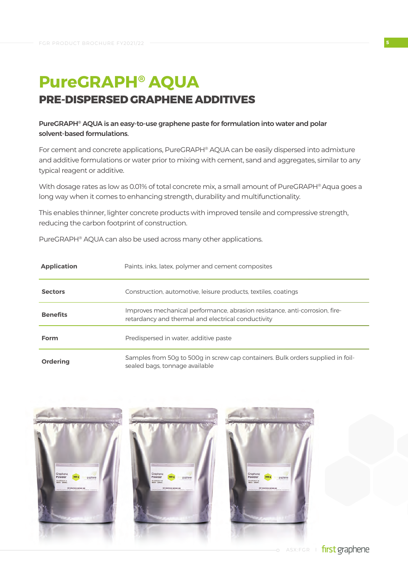## **PureGRAPH® AQUA PRE-DISPERSED GRAPHENE ADDITIVES**

#### PureGRAPH® AQUA is an easy-to-use graphene paste for formulation into water and polar solvent-based formulations.

For cement and concrete applications, PureGRAPH® AQUA can be easily dispersed into admixture and additive formulations or water prior to mixing with cement, sand and aggregates, similar to any typical reagent or additive.

With dosage rates as low as 0.01% of total concrete mix, a small amount of PureGRAPH® Aqua goes a long way when it comes to enhancing strength, durability and multifunctionality.

This enables thinner, lighter concrete products with improved tensile and compressive strength, reducing the carbon footprint of construction.

PureGRAPH® AQUA can also be used across many other applications.

| <b>Application</b> | Paints, inks, latex, polymer and cement composites                                                                                |  |  |  |
|--------------------|-----------------------------------------------------------------------------------------------------------------------------------|--|--|--|
| <b>Sectors</b>     | Construction, automotive, leisure products, textiles, coatings                                                                    |  |  |  |
| <b>Benefits</b>    | Improves mechanical performance, abrasion resistance, anti-corrosion, fire-<br>retardancy and thermal and electrical conductivity |  |  |  |
| Form               | Predispersed in water, additive paste                                                                                             |  |  |  |
| <b>Ordering</b>    | Samples from 50g to 500g in screw cap containers. Bulk orders supplied in foil-<br>sealed bags, tonnage available                 |  |  |  |

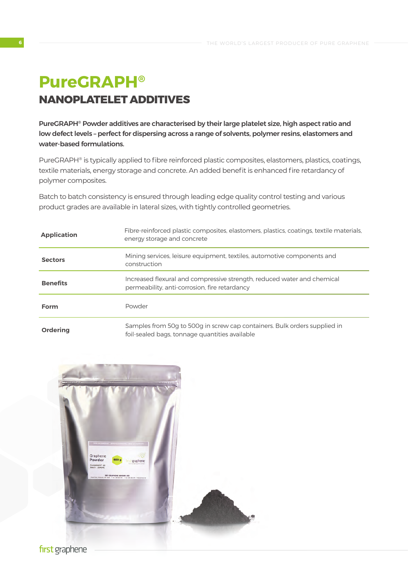## **PureGRAPH® NANOPLATELET ADDITIVES**

PureGRAPH® Powder additives are characterised by their large platelet size, high aspect ratio and low defect levels – perfect for dispersing across a range of solvents, polymer resins, elastomers and water-based formulations.

PureGRAPH® is typically applied to fibre reinforced plastic composites, elastomers, plastics, coatings, textile materials, energy storage and concrete. An added benefit is enhanced fire retardancy of polymer composites.

Batch to batch consistency is ensured through leading edge quality control testing and various product grades are available in lateral sizes, with tightly controlled geometries.

| <b>Application</b> | Fibre-reinforced plastic composites, elastomers, plastics, coatings, textile materials,<br>energy storage and concrete      |  |  |  |
|--------------------|-----------------------------------------------------------------------------------------------------------------------------|--|--|--|
| <b>Sectors</b>     | Mining services, leisure equipment, textiles, automotive components and<br>construction                                     |  |  |  |
| <b>Benefits</b>    | Increased flexural and compressive strength, reduced water and chemical<br>permeability, anti-corrosion, fire retardancy    |  |  |  |
| Form               | Powder                                                                                                                      |  |  |  |
| <b>Ordering</b>    | Samples from 50q to 500q in screw cap containers. Bulk orders supplied in<br>foil-sealed bags, tonnage quantities available |  |  |  |

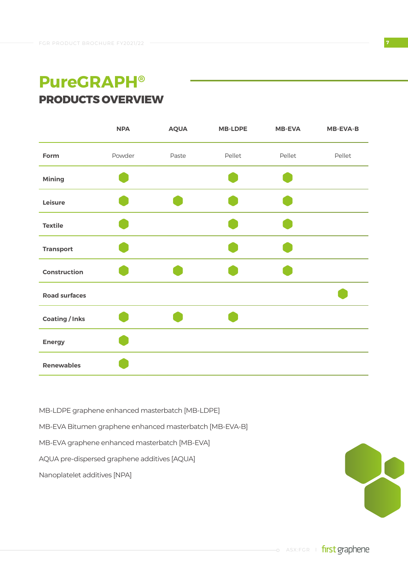### **PureGRAPH® PRODUCTS OVERVIEW**

|                       | <b>NPA</b> | <b>AQUA</b> | <b>MB-LDPE</b> | <b>MB-EVA</b> | <b>MB-EVA-B</b> |
|-----------------------|------------|-------------|----------------|---------------|-----------------|
| Form                  | Powder     | Paste       | Pellet         | Pellet        | Pellet          |
| <b>Mining</b>         |            |             |                |               |                 |
| Leisure               |            |             |                |               |                 |
| <b>Textile</b>        |            |             |                |               |                 |
| <b>Transport</b>      |            |             |                |               |                 |
| <b>Construction</b>   |            |             |                |               |                 |
| <b>Road surfaces</b>  |            |             |                |               |                 |
| <b>Coating / Inks</b> |            |             |                |               |                 |
| <b>Energy</b>         |            |             |                |               |                 |
| <b>Renewables</b>     |            |             |                |               |                 |

- MB-LDPE graphene enhanced masterbatch [MB-LDPE]
- MB-EVA Bitumen graphene enhanced masterbatch [MB-EVA-B]
- MB-EVA graphene enhanced masterbatch [MB-EVA]
- AQUA pre-dispersed graphene additives [AQUA]
- Nanoplatelet additives [NPA]